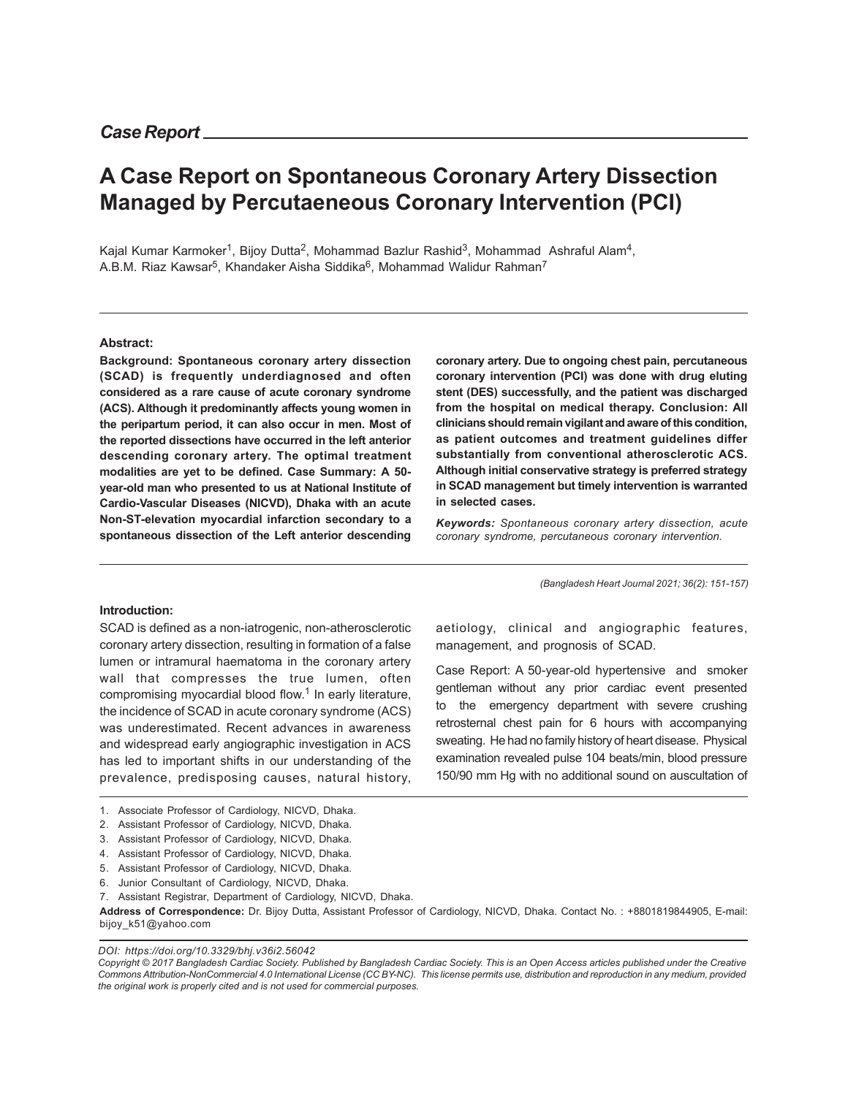# **A Case Report on Spontaneous Coronary Artery Dissection Managed by Percutaeneous Coronary Intervention (PCI)**

Kajal Kumar Karmoker<sup>1</sup>, Bijoy Dutta<sup>2</sup>, Mohammad Bazlur Rashid<sup>3</sup>, Mohammad Ashraful Alam<sup>4</sup>, A.B.M. Riaz Kawsar<sup>5</sup>, Khandaker Aisha Siddika<sup>6</sup>, Mohammad Walidur Rahman<sup>7</sup>

#### **Abstract:**

**Background: Spontaneous coronary artery dissection (SCAD) is frequently underdiagnosed and often considered as a rare cause of acute coronary syndrome (ACS). Although it predominantly affects young women in the peripartum period, it can also occur in men. Most of the reported dissections have occurred in the left anterior descending coronary artery. The optimal treatment modalities are yet to be defined. Case Summary: A 50 year-old man who presented to us at National Institute of Cardio-Vascular Diseases (NICVD), Dhaka with an acute Non-ST-elevation myocardial infarction secondary to a spontaneous dissection of the Left anterior descending**

**coronary artery. Due to ongoing chest pain, percutaneous coronary intervention (PCI) was done with drug eluting stent (DES) successfully, and the patient was discharged from the hospital on medical therapy. Conclusion: All clinicians should remain vigilant and aware of this condition, as patient outcomes and treatment guidelines differ substantially from conventional atherosclerotic ACS. Although initial conservative strategy is preferred strategy in SCAD management but timely intervention is warranted in selected cases.**

*Keywords: Spontaneous coronary artery dissection, acute coronary syndrome, percutaneous coronary intervention.*

aetiology, clinical and angiographic features,

Case Report: A 50-year-old hypertensive and smoker gentleman without any prior cardiac event presented to the emergency department with severe crushing retrosternal chest pain for 6 hours with accompanying sweating. He had no family history of heart disease. Physical examination revealed pulse 104 beats/min, blood pressure 150/90 mm Hg with no additional sound on auscultation of

management, and prognosis of SCAD.

*(Bangladesh Heart Journal 2021; 36(2): 151-157)*

#### **Introduction:**

SCAD is defined as a non-iatrogenic, non-atherosclerotic coronary artery dissection, resulting in formation of a false lumen or intramural haematoma in the coronary artery wall that compresses the true lumen, often compromising myocardial blood flow.<sup>1</sup> In early literature, the incidence of SCAD in acute coronary syndrome (ACS) was underestimated. Recent advances in awareness and widespread early angiographic investigation in ACS has led to important shifts in our understanding of the prevalence, predisposing causes, natural history,

*DOI: https://doi.org/10.3329/bhj.v36i2.56042*

*Copyright © 2017 Bangladesh Cardiac Society. Published by Bangladesh Cardiac Society. This is an Open Access articles published under the Creative Commons Attribution-NonCommercial 4.0 International License (CC BY-NC). This license permits use, distribution and reproduction in any medium, provided the original work is properly cited and is not used for commercial purposes.*

<sup>1.</sup> Associate Professor of Cardiology, NICVD, Dhaka.

<sup>2.</sup> Assistant Professor of Cardiology, NICVD, Dhaka.

<sup>3.</sup> Assistant Professor of Cardiology, NICVD, Dhaka.

<sup>4.</sup> Assistant Professor of Cardiology, NICVD, Dhaka.

<sup>5.</sup> Assistant Professor of Cardiology, NICVD, Dhaka.

<sup>6.</sup> Junior Consultant of Cardiology, NICVD, Dhaka.

<sup>7.</sup> Assistant Registrar, Department of Cardiology, NICVD, Dhaka.

**Address of Correspondence:** Dr. Bijoy Dutta, Assistant Professor of Cardiology, NICVD, Dhaka. Contact No. : +8801819844905, E-mail: bijoy\_k51@yahoo.com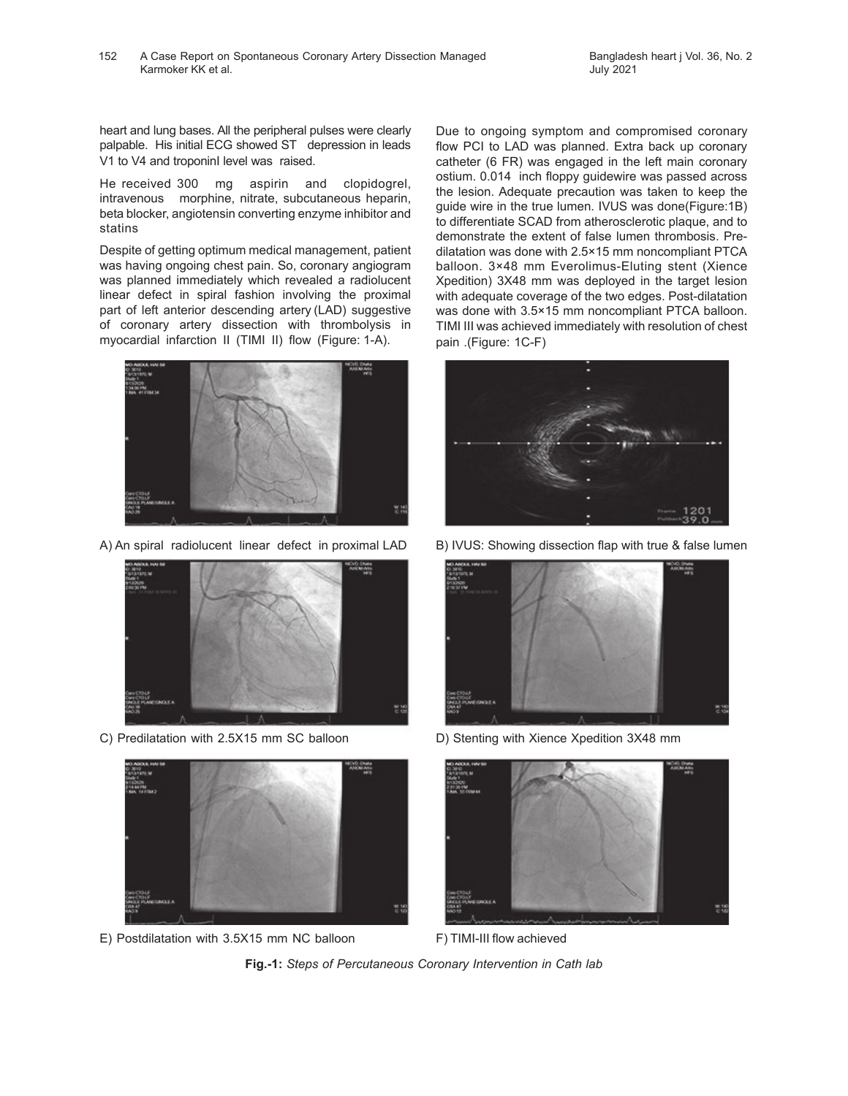heart and lung bases. All the peripheral pulses were clearly palpable. His initial ECG showed ST depression in leads V1 to V4 and troponinI level was raised.

He received 300 mg aspirin and clopidogrel, intravenous morphine, nitrate, subcutaneous heparin, beta blocker, angiotensin converting enzyme inhibitor and statins

Despite of getting optimum medical management, patient was having ongoing chest pain. So, coronary angiogram was planned immediately which revealed a radiolucent linear defect in spiral fashion involving the proximal part of left anterior descending artery (LAD) suggestive of coronary artery dissection with thrombolysis in myocardial infarction II (TIMI II) flow (Figure: 1-A).





C) Predilatation with 2.5X15 mm SC balloon D) Stenting with Xience Xpedition 3X48 mm



E) Postdilatation with 3.5X15 mm NC balloon F) TIMI-III flow achieved

Due to ongoing symptom and compromised coronary flow PCI to LAD was planned. Extra back up coronary catheter (6 FR) was engaged in the left main coronary ostium. 0.014 inch floppy guidewire was passed across the lesion. Adequate precaution was taken to keep the guide wire in the true lumen. IVUS was done(Figure:1B) to differentiate SCAD from atherosclerotic plaque, and to demonstrate the extent of false lumen thrombosis. Predilatation was done with 2.5×15 mm noncompliant PTCA balloon. 3×48 mm Everolimus-Eluting stent (Xience Xpedition) 3X48 mm was deployed in the target lesion with adequate coverage of the two edges. Post-dilatation was done with 3.5×15 mm noncompliant PTCA balloon. TIMI III was achieved immediately with resolution of chest pain .(Figure: 1C-F)



A) An spiral radiolucent linear defect in proximal LAD B) IVUS: Showing dissection flap with true & false lumen





**Fig.-1:** *Steps of Percutaneous Coronary Intervention in Cath lab*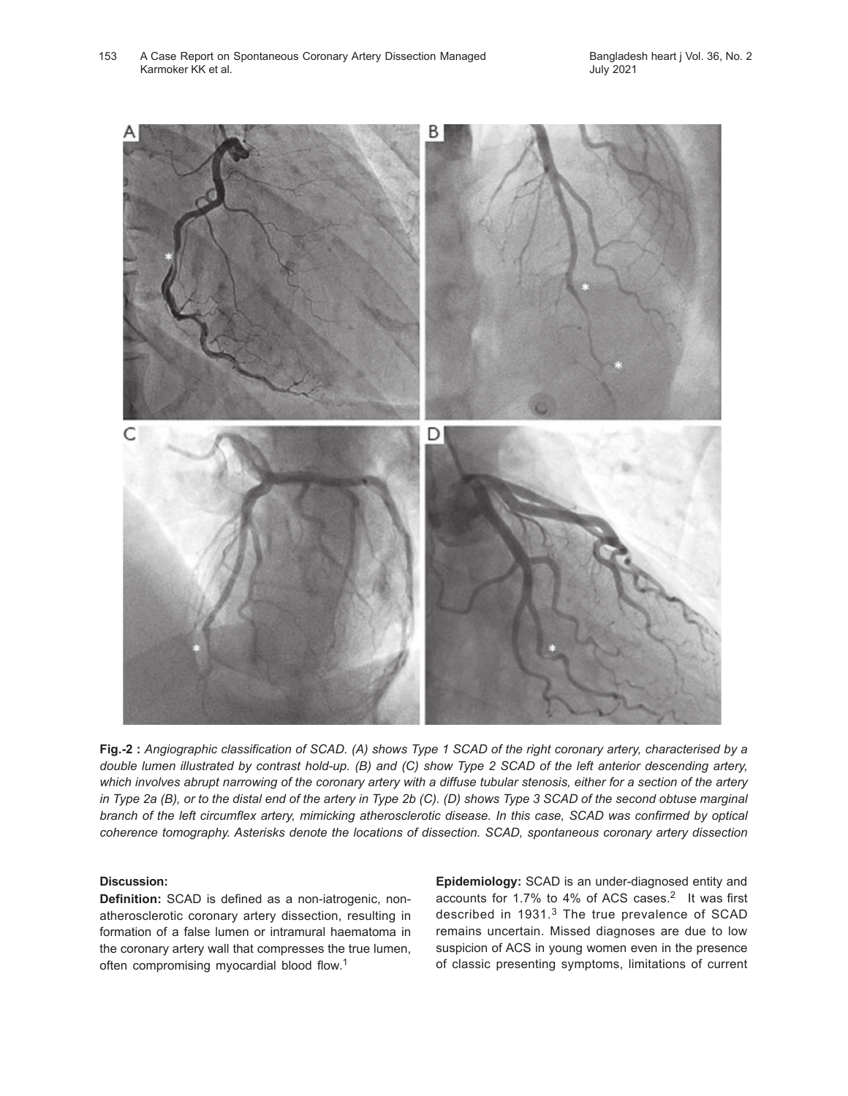A Case Report on Spontaneous Coronary Artery Dissection Managed 153 Bangladesh heart j Vol. 36, No. 2 Karmoker KK et al.



**Fig.-2 :** *Angiographic classification of SCAD. (A) shows Type 1 SCAD of the right coronary artery, characterised by a double lumen illustrated by contrast hold-up. (B) and (C) show Type 2 SCAD of the left anterior descending artery, which involves abrupt narrowing of the coronary artery with a diffuse tubular stenosis, either for a section of the artery in Type 2a (B), or to the distal end of the artery in Type 2b (C). (D) shows Type 3 SCAD of the second obtuse marginal branch of the left circumflex artery, mimicking atherosclerotic disease. In this case, SCAD was confirmed by optical coherence tomography. Asterisks denote the locations of dissection. SCAD, spontaneous coronary artery dissection*

#### **Discussion:**

**Definition:** SCAD is defined as a non-iatrogenic, nonatherosclerotic coronary artery dissection, resulting in formation of a false lumen or intramural haematoma in the coronary artery wall that compresses the true lumen, often compromising myocardial blood flow.<sup>1</sup>

**Epidemiology:** SCAD is an under-diagnosed entity and accounts for 1.7% to 4% of ACS cases.<sup>2</sup> It was first described in 1931.<sup>3</sup> The true prevalence of SCAD remains uncertain. Missed diagnoses are due to low suspicion of ACS in young women even in the presence of classic presenting symptoms, limitations of current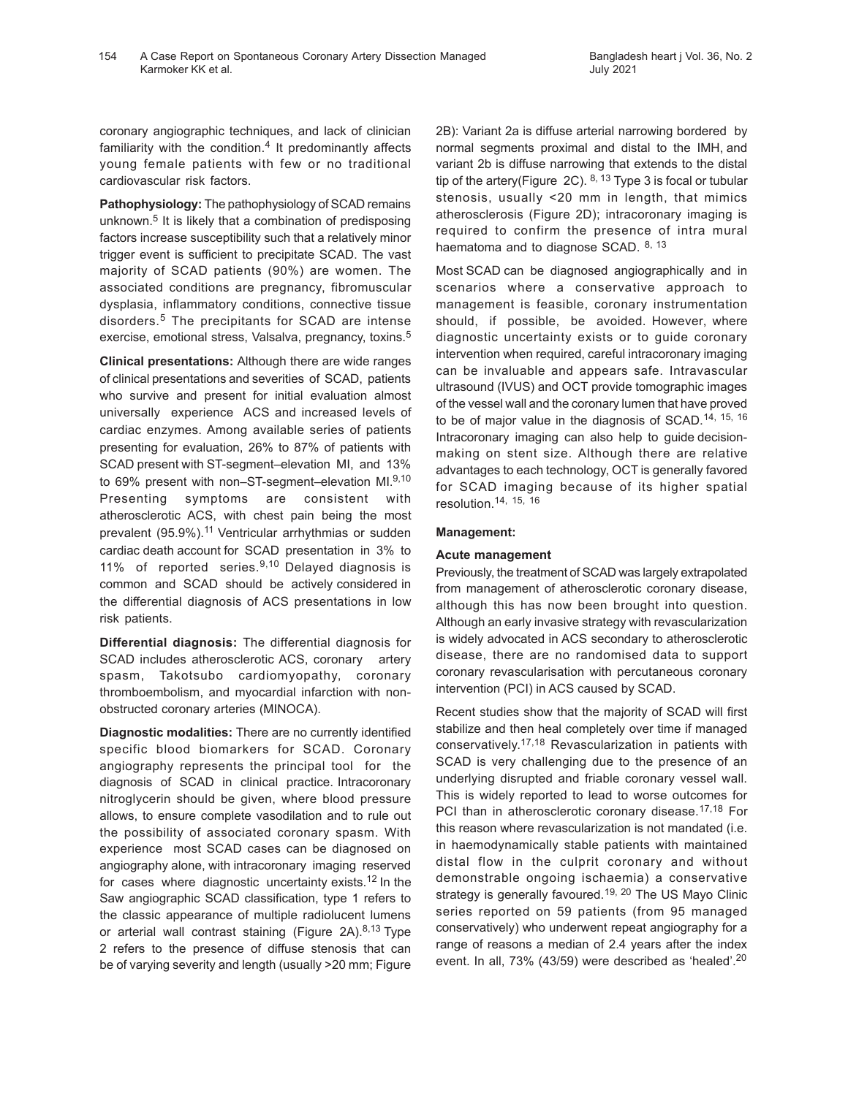coronary angiographic techniques, and lack of clinician familiarity with the condition.<sup>4</sup> It predominantly affects young female patients with few or no traditional cardiovascular risk factors.

**Pathophysiology:** The pathophysiology of SCAD remains unknown.<sup>5</sup> It is likely that a combination of predisposing factors increase susceptibility such that a relatively minor trigger event is sufficient to precipitate SCAD. The vast majority of SCAD patients (90%) are women. The associated conditions are pregnancy, fibromuscular dysplasia, inflammatory conditions, connective tissue disorders.<sup>5</sup> The precipitants for SCAD are intense exercise, emotional stress, Valsalva, pregnancy, toxins.<sup>5</sup>

**Clinical presentations:** Although there are wide ranges of clinical presentations and severities of SCAD, patients who survive and present for initial evaluation almost universally experience ACS and increased levels of cardiac enzymes. Among available series of patients presenting for evaluation, 26% to 87% of patients with SCAD present with ST-segment–elevation MI, and 13% to 69% present with non–ST-segment–elevation MI.9,10 Presenting symptoms are consistent with atherosclerotic ACS, with chest pain being the most prevalent (95.9%).<sup>11</sup> Ventricular arrhythmias or sudden cardiac death account for SCAD presentation in 3% to 11% of reported series.9,10 Delayed diagnosis is common and SCAD should be actively considered in the differential diagnosis of ACS presentations in low risk patients.

**Differential diagnosis:** The differential diagnosis for SCAD includes atherosclerotic ACS, coronary artery spasm, Takotsubo cardiomyopathy, coronary thromboembolism, and myocardial infarction with nonobstructed coronary arteries (MINOCA).

**Diagnostic modalities:** There are no currently identified specific blood biomarkers for SCAD. Coronary angiography represents the principal tool for the diagnosis of SCAD in clinical practice. Intracoronary nitroglycerin should be given, where blood pressure allows, to ensure complete vasodilation and to rule out the possibility of associated coronary spasm. With experience most SCAD cases can be diagnosed on angiography alone, with intracoronary imaging reserved for cases where diagnostic uncertainty exists.<sup>12</sup> In the Saw angiographic SCAD classification, type 1 refers to the classic appearance of multiple radiolucent lumens or arterial wall contrast staining (Figure 2A). $8,13$  Type 2 refers to the presence of diffuse stenosis that can be of varying severity and length (usually >20 mm; Figure

2B): Variant 2a is diffuse arterial narrowing bordered by normal segments proximal and distal to the IMH, and variant 2b is diffuse narrowing that extends to the distal tip of the artery(Figure 2C).  $8, 13$  Type 3 is focal or tubular stenosis, usually <20 mm in length, that mimics atherosclerosis (Figure 2D); intracoronary imaging is required to confirm the presence of intra mural haematoma and to diagnose SCAD. 8, 13

Most SCAD can be diagnosed angiographically and in scenarios where a conservative approach to management is feasible, coronary instrumentation should, if possible, be avoided. However, where diagnostic uncertainty exists or to guide coronary intervention when required, careful intracoronary imaging can be invaluable and appears safe. Intravascular ultrasound (IVUS) and OCT provide tomographic images of the vessel wall and the coronary lumen that have proved to be of major value in the diagnosis of SCAD.<sup>14, 15, 16</sup> Intracoronary imaging can also help to guide decisionmaking on stent size. Although there are relative advantages to each technology, OCT is generally favored for SCAD imaging because of its higher spatial resolution.14, 15, 16

## **Management:**

## **Acute management**

Previously, the treatment of SCAD was largely extrapolated from management of atherosclerotic coronary disease, although this has now been brought into question. Although an early invasive strategy with revascularization is widely advocated in ACS secondary to atherosclerotic disease, there are no randomised data to support coronary revascularisation with percutaneous coronary intervention (PCI) in ACS caused by SCAD.

Recent studies show that the majority of SCAD will first stabilize and then heal completely over time if managed conservatively. 17,18 Revascularization in patients with SCAD is very challenging due to the presence of an underlying disrupted and friable coronary vessel wall. This is widely reported to lead to worse outcomes for PCI than in atherosclerotic coronary disease.<sup>17,18</sup> For this reason where revascularization is not mandated (i.e. in haemodynamically stable patients with maintained distal flow in the culprit coronary and without demonstrable ongoing ischaemia) a conservative strategy is generally favoured.<sup>19, 20</sup> The US Mayo Clinic series reported on 59 patients (from 95 managed conservatively) who underwent repeat angiography for a range of reasons a median of 2.4 years after the index event. In all, 73% (43/59) were described as 'healed'.<sup>20</sup>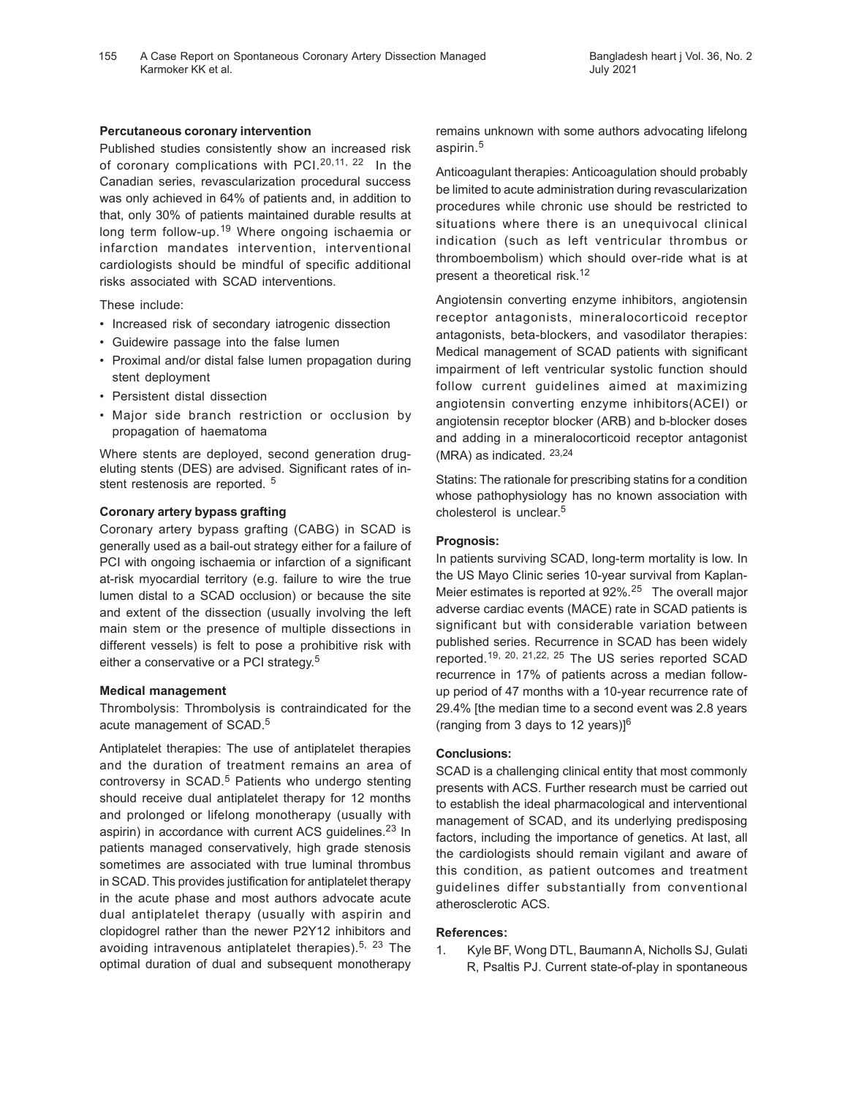#### **Percutaneous coronary intervention**

Published studies consistently show an increased risk of coronary complications with PCI. $20,11, 22$  In the Canadian series, revascularization procedural success was only achieved in 64% of patients and, in addition to that, only 30% of patients maintained durable results at long term follow-up.<sup>19</sup> Where ongoing ischaemia or infarction mandates intervention, interventional cardiologists should be mindful of specific additional risks associated with SCAD interventions.

These include:

- Increased risk of secondary iatrogenic dissection
- Guidewire passage into the false lumen
- Proximal and/or distal false lumen propagation during stent deployment
- Persistent distal dissection
- Major side branch restriction or occlusion by propagation of haematoma

Where stents are deployed, second generation drugeluting stents (DES) are advised. Significant rates of instent restenosis are reported. <sup>5</sup>

#### **Coronary artery bypass grafting**

Coronary artery bypass grafting (CABG) in SCAD is generally used as a bail-out strategy either for a failure of PCI with ongoing ischaemia or infarction of a significant at-risk myocardial territory (e.g. failure to wire the true lumen distal to a SCAD occlusion) or because the site and extent of the dissection (usually involving the left main stem or the presence of multiple dissections in different vessels) is felt to pose a prohibitive risk with either a conservative or a PCI strategy.<sup>5</sup>

#### **Medical management**

Thrombolysis: Thrombolysis is contraindicated for the acute management of SCAD.<sup>5</sup>

Antiplatelet therapies: The use of antiplatelet therapies and the duration of treatment remains an area of controversy in SCAD.<sup>5</sup> Patients who undergo stenting should receive dual antiplatelet therapy for 12 months and prolonged or lifelong monotherapy (usually with aspirin) in accordance with current ACS quidelines.<sup>23</sup> In patients managed conservatively, high grade stenosis sometimes are associated with true luminal thrombus in SCAD. This provides justification for antiplatelet therapy in the acute phase and most authors advocate acute dual antiplatelet therapy (usually with aspirin and clopidogrel rather than the newer P2Y12 inhibitors and avoiding intravenous antiplatelet therapies).<sup>5, 23</sup> The optimal duration of dual and subsequent monotherapy

remains unknown with some authors advocating lifelong aspirin.<sup>5</sup>

Anticoagulant therapies: Anticoagulation should probably be limited to acute administration during revascularization procedures while chronic use should be restricted to situations where there is an unequivocal clinical indication (such as left ventricular thrombus or thromboembolism) which should over-ride what is at present a theoretical risk.<sup>12</sup>

Angiotensin converting enzyme inhibitors, angiotensin receptor antagonists, mineralocorticoid receptor antagonists, beta-blockers, and vasodilator therapies: Medical management of SCAD patients with significant impairment of left ventricular systolic function should follow current guidelines aimed at maximizing angiotensin converting enzyme inhibitors(ACEI) or angiotensin receptor blocker (ARB) and b-blocker doses and adding in a mineralocorticoid receptor antagonist (MRA) as indicated. 23,24

Statins: The rationale for prescribing statins for a condition whose pathophysiology has no known association with cholesterol is unclear. 5

#### **Prognosis:**

In patients surviving SCAD, long-term mortality is low. In the US Mayo Clinic series 10-year survival from Kaplan-Meier estimates is reported at 92%.25 The overall major adverse cardiac events (MACE) rate in SCAD patients is significant but with considerable variation between published series. Recurrence in SCAD has been widely reported.19, 20, 21,22, 25 The US series reported SCAD recurrence in 17% of patients across a median followup period of 47 months with a 10-year recurrence rate of 29.4% [the median time to a second event was 2.8 years (ranging from 3 days to 12 years) $]^{6}$ 

## **Conclusions:**

SCAD is a challenging clinical entity that most commonly presents with ACS. Further research must be carried out to establish the ideal pharmacological and interventional management of SCAD, and its underlying predisposing factors, including the importance of genetics. At last, all the cardiologists should remain vigilant and aware of this condition, as patient outcomes and treatment guidelines differ substantially from conventional atherosclerotic ACS.

### **References:**

1. Kyle BF, Wong DTL, Baumann A, Nicholls SJ, Gulati R, Psaltis PJ. Current state-of-play in spontaneous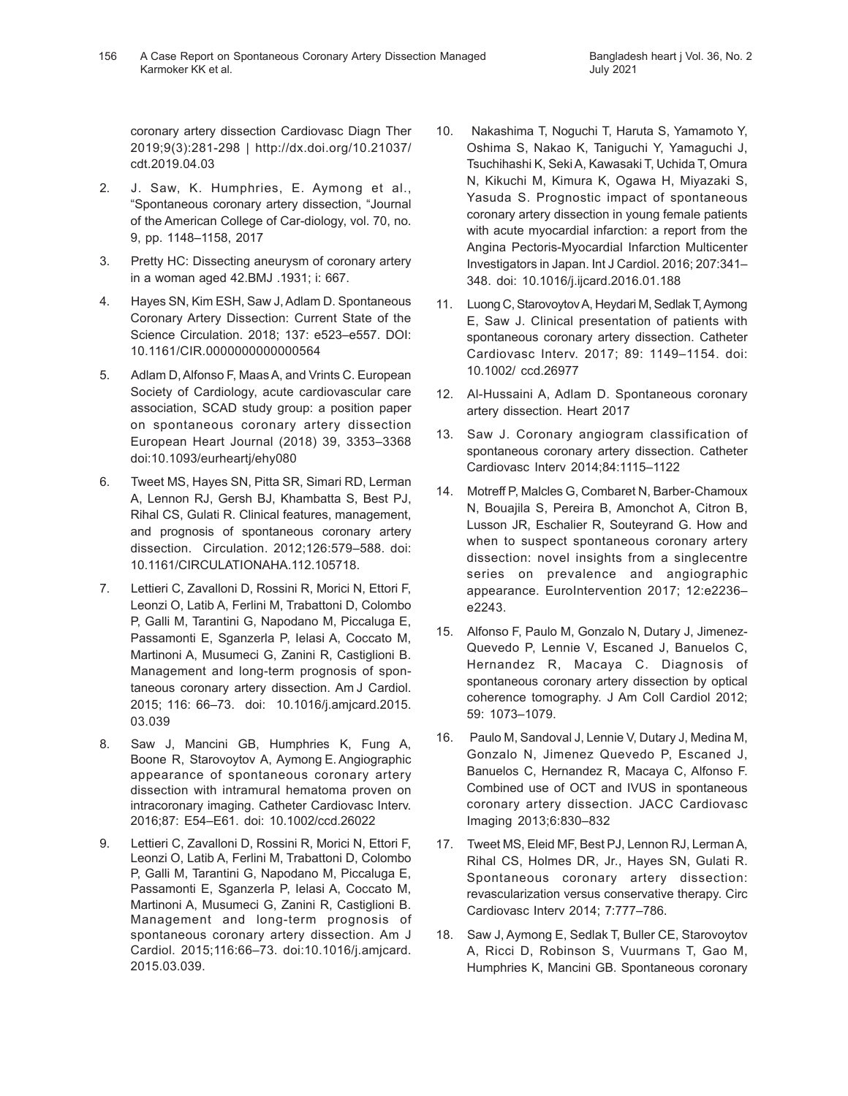July 2021

coronary artery dissection Cardiovasc Diagn Ther 2019;9(3):281-298 | http://dx.doi.org/10.21037/ cdt.2019.04.03

- 2. J. Saw, K. Humphries, E. Aymong et al., "Spontaneous coronary artery dissection, "Journal of the American College of Car-diology, vol. 70, no. 9, pp. 1148–1158, 2017
- 3. Pretty HC: Dissecting aneurysm of coronary artery in a woman aged 42.BMJ .1931; i: 667.
- 4. Hayes SN, Kim ESH, Saw J, Adlam D. Spontaneous Coronary Artery Dissection: Current State of the Science Circulation. 2018; 137: e523–e557. DOI: 10.1161/CIR.0000000000000564
- 5. Adlam D, Alfonso F, Maas A, and Vrints C. European Society of Cardiology, acute cardiovascular care association, SCAD study group: a position paper on spontaneous coronary artery dissection European Heart Journal (2018) 39, 3353–3368 doi:10.1093/eurheartj/ehy080
- 6. Tweet MS, Hayes SN, Pitta SR, Simari RD, Lerman A, Lennon RJ, Gersh BJ, Khambatta S, Best PJ, Rihal CS, Gulati R. Clinical features, management, and prognosis of spontaneous coronary artery dissection. Circulation. 2012;126:579–588. doi: 10.1161/CIRCULATIONAHA.112.105718.
- 7. Lettieri C, Zavalloni D, Rossini R, Morici N, Ettori F, Leonzi O, Latib A, Ferlini M, Trabattoni D, Colombo P, Galli M, Tarantini G, Napodano M, Piccaluga E, Passamonti E, Sganzerla P, Ielasi A, Coccato M, Martinoni A, Musumeci G, Zanini R, Castiglioni B. Management and long-term prognosis of spontaneous coronary artery dissection. Am J Cardiol. 2015; 116: 66–73. doi: 10.1016/j.amjcard.2015. 03.039
- 8. Saw J, Mancini GB, Humphries K, Fung A, Boone R, Starovoytov A, Aymong E. Angiographic appearance of spontaneous coronary artery dissection with intramural hematoma proven on intracoronary imaging. Catheter Cardiovasc Interv. 2016;87: E54–E61. doi: 10.1002/ccd.26022
- 9. Lettieri C, Zavalloni D, Rossini R, Morici N, Ettori F, Leonzi O, Latib A, Ferlini M, Trabattoni D, Colombo P, Galli M, Tarantini G, Napodano M, Piccaluga E, Passamonti E, Sganzerla P, Ielasi A, Coccato M, Martinoni A, Musumeci G, Zanini R, Castiglioni B. Management and long-term prognosis of spontaneous coronary artery dissection. Am J Cardiol. 2015;116:66–73. doi:10.1016/j.amjcard. 2015.03.039.
- 10. Nakashima T, Noguchi T, Haruta S, Yamamoto Y, Oshima S, Nakao K, Taniguchi Y, Yamaguchi J, Tsuchihashi K, Seki A, Kawasaki T, Uchida T, Omura N, Kikuchi M, Kimura K, Ogawa H, Miyazaki S, Yasuda S. Prognostic impact of spontaneous coronary artery dissection in young female patients with acute myocardial infarction: a report from the Angina Pectoris-Myocardial Infarction Multicenter Investigators in Japan. Int J Cardiol. 2016; 207:341– 348. doi: 10.1016/j.ijcard.2016.01.188
- 11. Luong C, Starovoytov A, Heydari M, Sedlak T, Aymong E, Saw J. Clinical presentation of patients with spontaneous coronary artery dissection. Catheter Cardiovasc Interv. 2017; 89: 1149–1154. doi: 10.1002/ ccd.26977
- 12. Al-Hussaini A, Adlam D. Spontaneous coronary artery dissection. Heart 2017
- 13. Saw J. Coronary angiogram classification of spontaneous coronary artery dissection. Catheter Cardiovasc Interv 2014;84:1115–1122
- 14. Motreff P, Malcles G, Combaret N, Barber-Chamoux N, Bouajila S, Pereira B, Amonchot A, Citron B, Lusson JR, Eschalier R, Souteyrand G. How and when to suspect spontaneous coronary artery dissection: novel insights from a singlecentre series on prevalence and angiographic appearance. EuroIntervention 2017; 12:e2236– e2243.
- 15. Alfonso F, Paulo M, Gonzalo N, Dutary J, Jimenez-Quevedo P, Lennie V, Escaned J, Banuelos C, Hernandez R, Macaya C. Diagnosis of spontaneous coronary artery dissection by optical coherence tomography. J Am Coll Cardiol 2012; 59: 1073–1079.
- 16. Paulo M, Sandoval J, Lennie V, Dutary J, Medina M, Gonzalo N, Jimenez Quevedo P, Escaned J, Banuelos C, Hernandez R, Macaya C, Alfonso F. Combined use of OCT and IVUS in spontaneous coronary artery dissection. JACC Cardiovasc Imaging 2013;6:830–832
- 17. Tweet MS, Eleid MF, Best PJ, Lennon RJ, Lerman A, Rihal CS, Holmes DR, Jr., Hayes SN, Gulati R. Spontaneous coronary artery dissection: revascularization versus conservative therapy. Circ Cardiovasc Interv 2014; 7:777–786.
- 18. Saw J, Aymong E, Sedlak T, Buller CE, Starovoytov A, Ricci D, Robinson S, Vuurmans T, Gao M, Humphries K, Mancini GB. Spontaneous coronary